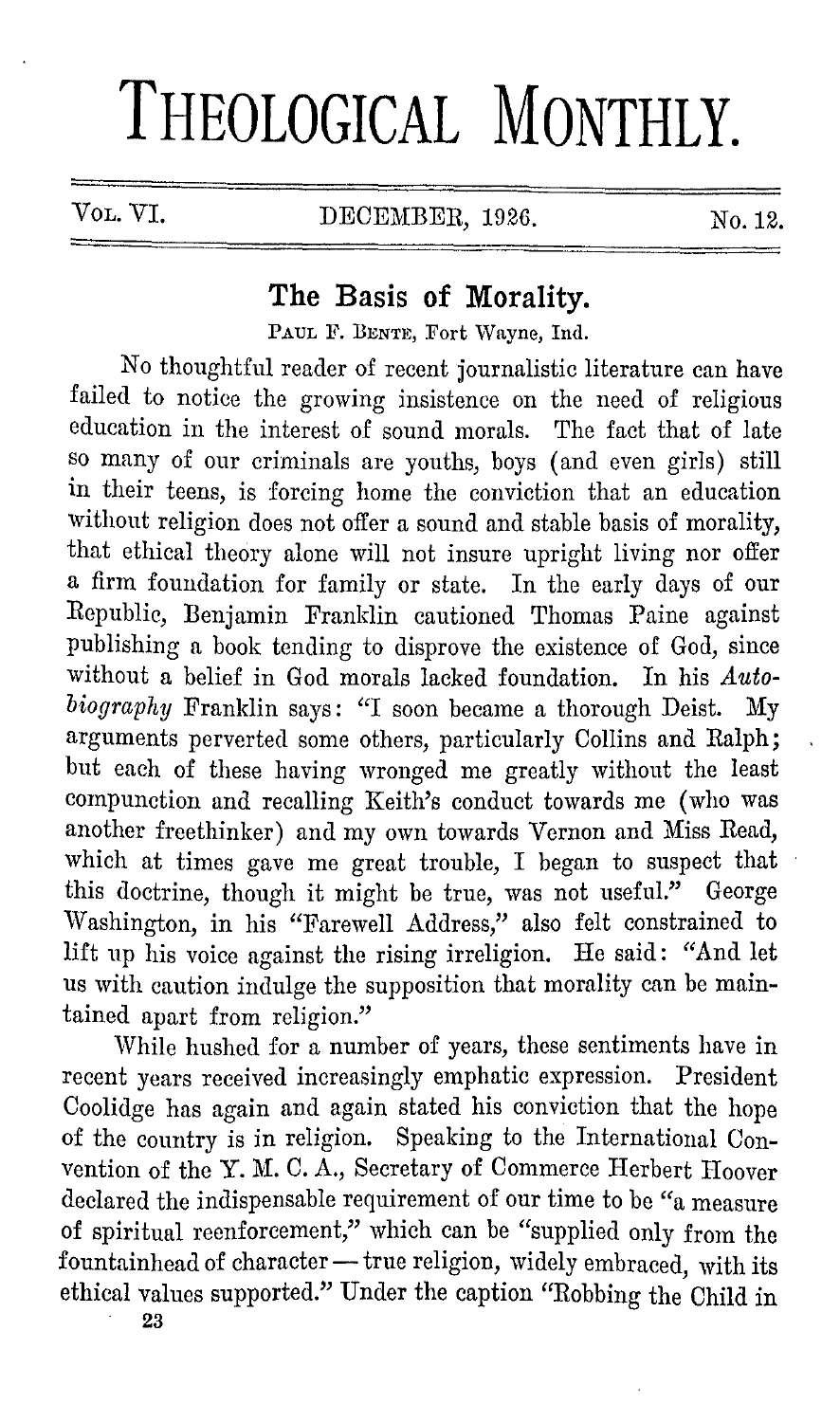# **THEOLOGICAL MONTHLY.**

VOL. VI. DECEMBER, 1926. No. 12.

## **The Basis of Morality.**

PAUL F. BENTE, Fort Wayne, Ind.

No thoughtful reader of recent journalistic literature can have failed to notice the growing insistence on the need of religious education in the interest of sound morals. The fact that of late so many of our criminals are youths, boys ( and even girls) still in their teens, is forcing home the conviction that an education without religion does not offer a sound and stable basis of morality, that ethical theory alone will not insure upright living nor offer a firm foundation for family or state. In the early days of our Republic, Benjamin Franklin cautioned Thomas Paine against publishing a book tending to disprove the existence of God, since without a belief in God morals lacked foundation. In his Auto*biography* Franklin says: "I soon became a thorough Deist. My arguments perverted some others, particularly Collins and Ralph; but each of these having wronged me greatly without the least compunction and recalling Keith's conduct towards me (who was another freethinker) and my own towards Vernon and Miss Read, which at times gave me great trouble, I began to suspect that this doctrine, though it might be true, was not useful." George Washington, in his "Farewell Address," also felt constrained to lift up his voice against the rising irreligion. He said: "And let us with caution indulge the supposition that morality can be maintained apart from religion."

While hushed for a number of years, these sentiments have in recent years received increasingly emphatic expression. President Coolidge has again and again stated his conviction that the hope of the country is in religion. Speaking to the International Convention of the Y. M. C. A., Secretary of Commerce Herbert Hoover declared the indispensable requirement of our time to be "a measure of spiritual reenforcement," which can be "supplied only from the fountainhead of character- true religion, widely embraced, with its ethical values supported." Under the caption "Robbing the Child in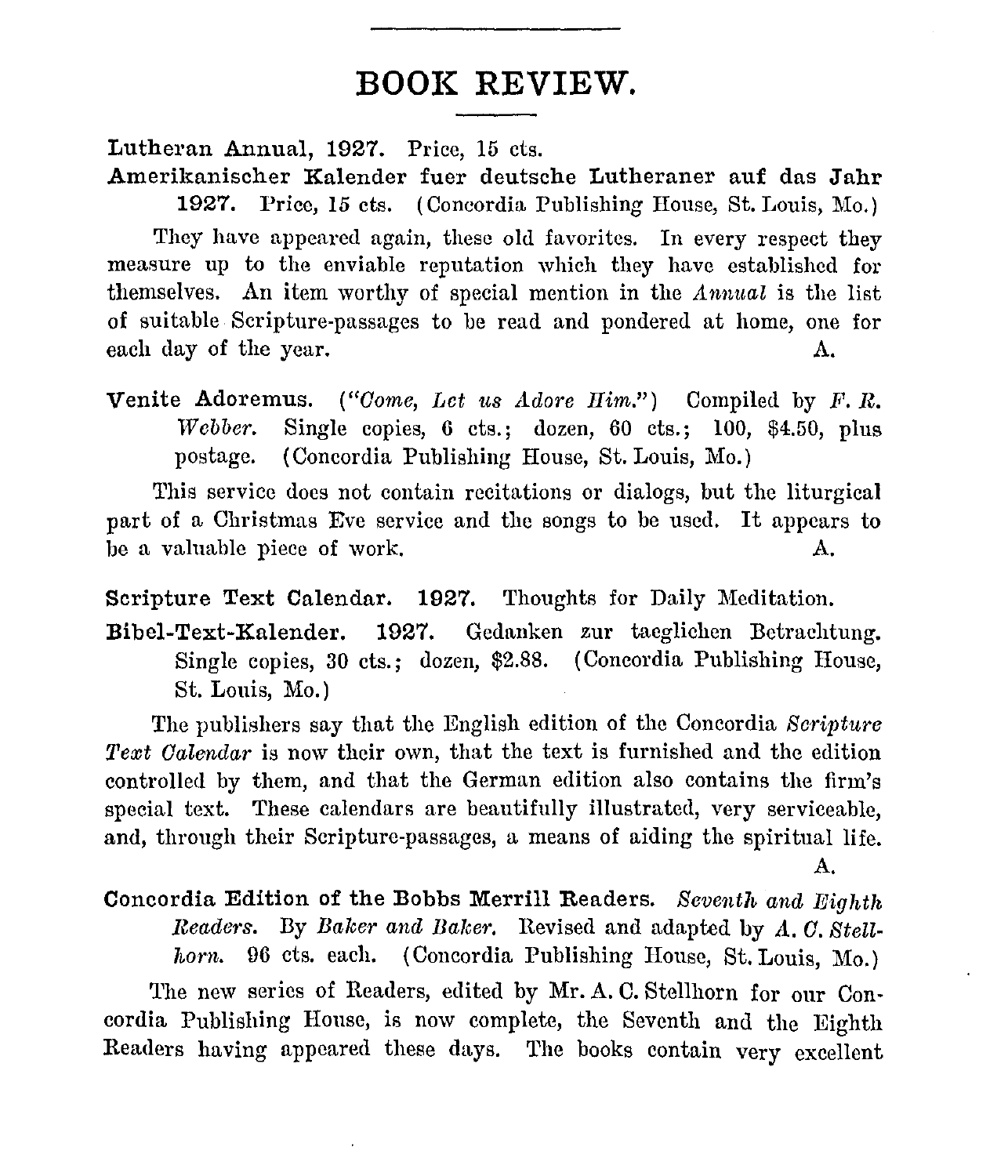### **BOOK REVIEW.**

Lutheran Annual, 1927. Price, 15 cts.

Amerikanischer Kalender fuer deutsche Lutheraner auf das Jahr 1927. Price, 15 cts. ( Concordia Publishing House, St. Louis, Mo.) They have appeared again, these old favorites. In every respect they measure up to the enviable reputation which they have established for themselves. An item worthy of special mention in the *Annual* is the list of suitable Scripture-passages to be read and pondered at home, one for each day of the year. A.

**Venite Adoremus.** *("Come, Let us Adore Him.")* Compiled by *F.R. Webber.* Single copies, 6 cts.; dozen, 60 cts.; 100, \$4.50, plus postage. ( Concordia Publishing House, St. Louis, Mo.)

This service docs not contain recitations or dialogs, but the liturgical part of a Christmas Eve service and the songs to be used. It appears to be a valuable piece of work. A.

Scripture Text Calendar. 1927. Thoughts for Daily Meditation.

Bibel-Text-Kalender. 1927. Gedanken zur tacglichen Bctrachtung. Single copies, 30 cts.; dozen, \$2.88. ( Concordia Publishing House, St. Louis, Mo.)

The publishers say that the English edition of the Concordia *Scripture Text Calendar* is now their own, that the text is furnished and the edition controlled by them, and that the German edition also contains the firm's special text. These calendars are beautifully illustrated, very serviceable, and, through their Scripture-passages, a means of aiding the spiritual life. A.

Concordia Edition of the Bobbs Merrill Readers. *Seventh and Eighth Readers.* By *Baker and Balcer.* Revised and adapted by *A. 0. Stell*horn. 96 cts. each. (Concordia Publishing House, St. Louis, Mo.)

The new series of Readers, edited by Mr. A. C. Stellhorn for our Concordia Publishing House, is now complete, the Seventh and the Eighth Readers having appeared these days. The books contain very excellent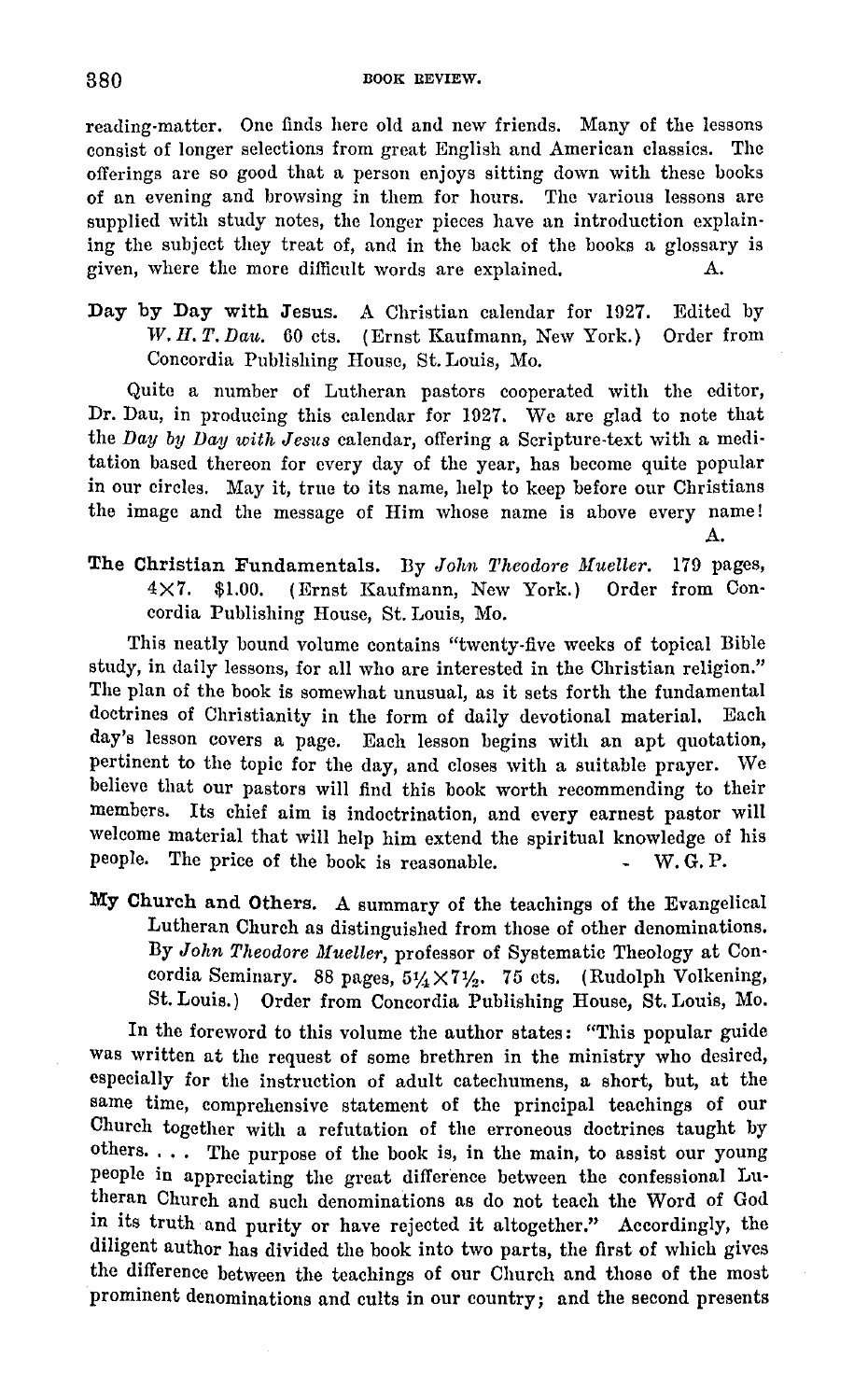reading-matter. One finds here old and new friends. Many of the lessons consist of longer selections from great English and American classics. The offerings arc so good that a person enjoys sitting down with these books of an evening and browsing in them for hours. The various lessons are supplied with study notes, the longer pieces have an introduction explaining the subject they treat of, and in the back of the books a glossary is given, where the more difficult words are explained. A.

Day by Day with Jesus. A Christian calendar for 1927. Edited by *W. H. T. Dau.* 60 cts. ( Ernst Kaufmann, New York.) Order from Concordia Publishing House, St. Louis, Mo.

Quite a number of Lutheran pastors cooperated with the editor, Dr. Dau, in producing this calendar for 1927. We are glad to note that the *Day by Day with Jesus* calendar, offering a Scripture-text with a meditation based thereon for every day of the year, has become quite popular in our circles. May it, true to its name, help to keep before our Christians the image and the message of Him whose name is above every name! A.

The Christian Fundamentals. By *John Theodore Mueller*. 179 pages, 4X7. \$1.00. (Ernst Kaufmann, New York.) Order from Concordia Publishing House, St. Louis, Mo.

This neatly bound volume contains "twenty-five weeks of topical Bible study, in daily lessons, for all who are interested in the Christian religion." The plan of the book is somewhat unusual, as it sets forth the fundamental doctrines of Christianity in the form of daily devotional material. Each day's lesson covers a page. Each lesson begins with an apt quotation, pertinent to the topic for the day, and closes with a suitable prayer. We believe that our pastors will find this book worth recommending to their members. Its chief aim is indoctrination, and every earnest pastor will welcome material that will help him extend the spiritual knowledge of his people. The price of the book is reasonable. W.G.P.

My Church and Others. A summary of the teachings of the Evangelical Lutheran Church as distinguished from those of other denominations. By *John Theodore Mueller*, professor of Systematic Theology at Concordia Seminary. 88 pages,  $5\frac{1}{4}\times7\frac{1}{2}$ . 75 cts. (Rudolph Volkening, St. Louis.) Order from Concordia Publishing House, St. Louis, Mo.

In the foreword to this volume the author states: "This popular guide was written at the request of some brethren in the ministry who desired, especially for the instruction of adult catechumens, a short, but, at the same time, comprehensive statement of the principal teachings of our Church together with a refutation of the erroneous doctrines taught by others. . . . The purpose of the book is, in the main, to assist our young people in appreciating the great difference between the confessional Lutheran Church and such denominations as do not teach the Word of God in its truth and purity or have rejected it altogether," Accordingly, the diligent author has divided the book into two parts, the first of which gives the difference between the teachings of our Church nnd those of the most prominent denominations and cults in our country; and the second presents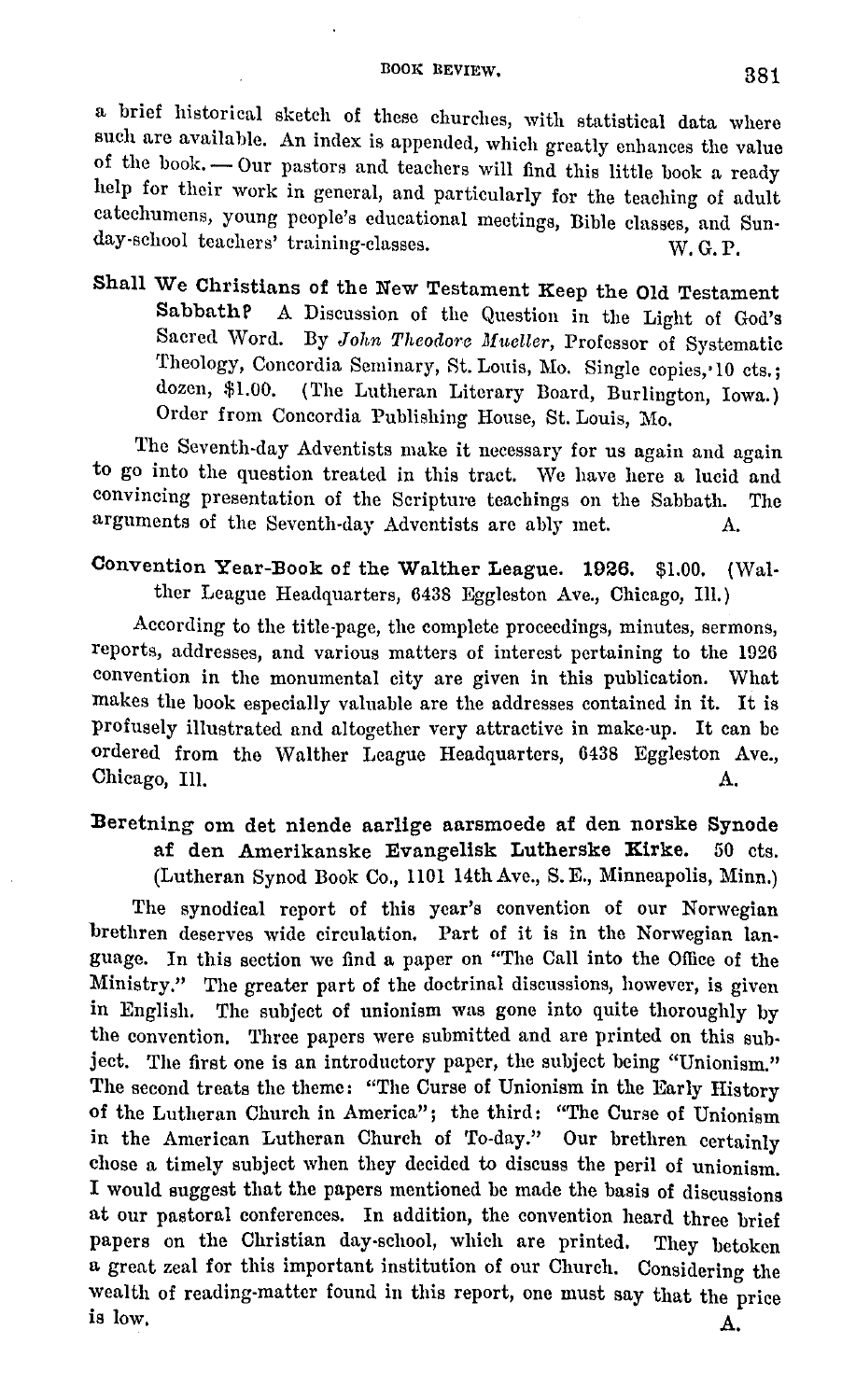a brief historical sketch of these churches, with statistical data where such are available. An index is appended, which greatly enhances the value of the book. - Our pastors and teachers will find this little book a ready help for their work in general, and particularly for the teaching of adult catechumens, young people's educational meetings, Bible classes, and Sunday-school teachers' training-classes. W. G. P.

Shall We Christians of the New Testament Keep the Old Testament<br>Sabbath? A Discussion of the Ougstion in the Light of Codin A Discussion of the Question in the Light of God's Sacred Word. By *John Theodore Mueller*, Professor of Systematic Theology, Concordia Seminary, St. Louis, Mo. Single copies, 10 cts.;<br>dozen. \$1.00. (The Lutheran Literary Board Burlington Lowe) (The Lutheran Literary Board, Burlington, Iowa.) Order from Concordia Publishing House, St. Louis, Mo.

The Seventh-day Adventists make it necessary for us again and again to go into the question treated in this tract. We have here a lucid and convincing presentation of the Scripture teachings on the Sabbath. The arguments of the Seventh-day Adventists are ably met. A.

#### Convention Year-Book of the Walther League. **1926.** \$1.00. (Walther League Headquarters, 6438 Eggleston Ave., Chicago, Ill.)

According to the title-page, the complete proceedings, minutes, sermons, reports, addresses, and various matters of interest pertaining to the 1926 convention in the monumental city are given in this publication. What makes the book especially valuable are the addresses contained in it. It is profusely illustrated and altogether very attractive in make-up. It can be ordered from the Walther League Headquarters, 6438 Eggleston Ave., Chicago, Ill. A.

#### :Beretning om det niende aarlige aarsmoede af den norske Synode af den Amerikanske Evangelisk Lutherske **Kirke.** 50 cts. (Lutheran Synod Book Co., 1101 14th Ave., S. E., Minneapolis, Minn.)

The synodical report of this year's convention of our Norwegian brethren deserves wide circulation. Part of it is in the Norwegian language. In this section we find a paper on "The Call into the Office of the Ministry." The greater part of the doctrinal discussions, however, is given in English. The subject of unionism was gone into quite thoroughly by the convention. Three papers were submitted and are printed on this subject. The first one is an introductory paper, the subject being "Unionism." The second treats the theme: "The Curse of Unionism in the Early History of the Lutheran Church in America"; the third: "The Curse of Unionism in the American Lutheran Church of To-day." Our brethren certainly chose a timely subject when they decided to discuss the peril of unionism. I would suggest that the papers mentioned be made the basis of discussions at our pastoral conferences. In addition, the convention heard three brief papers on the Christian day-school, which are printed. They betoken a great zeal for this important institution of our Church. Considering the wealth of reading-matter found in this report, one must say that the price is low.  $A$ .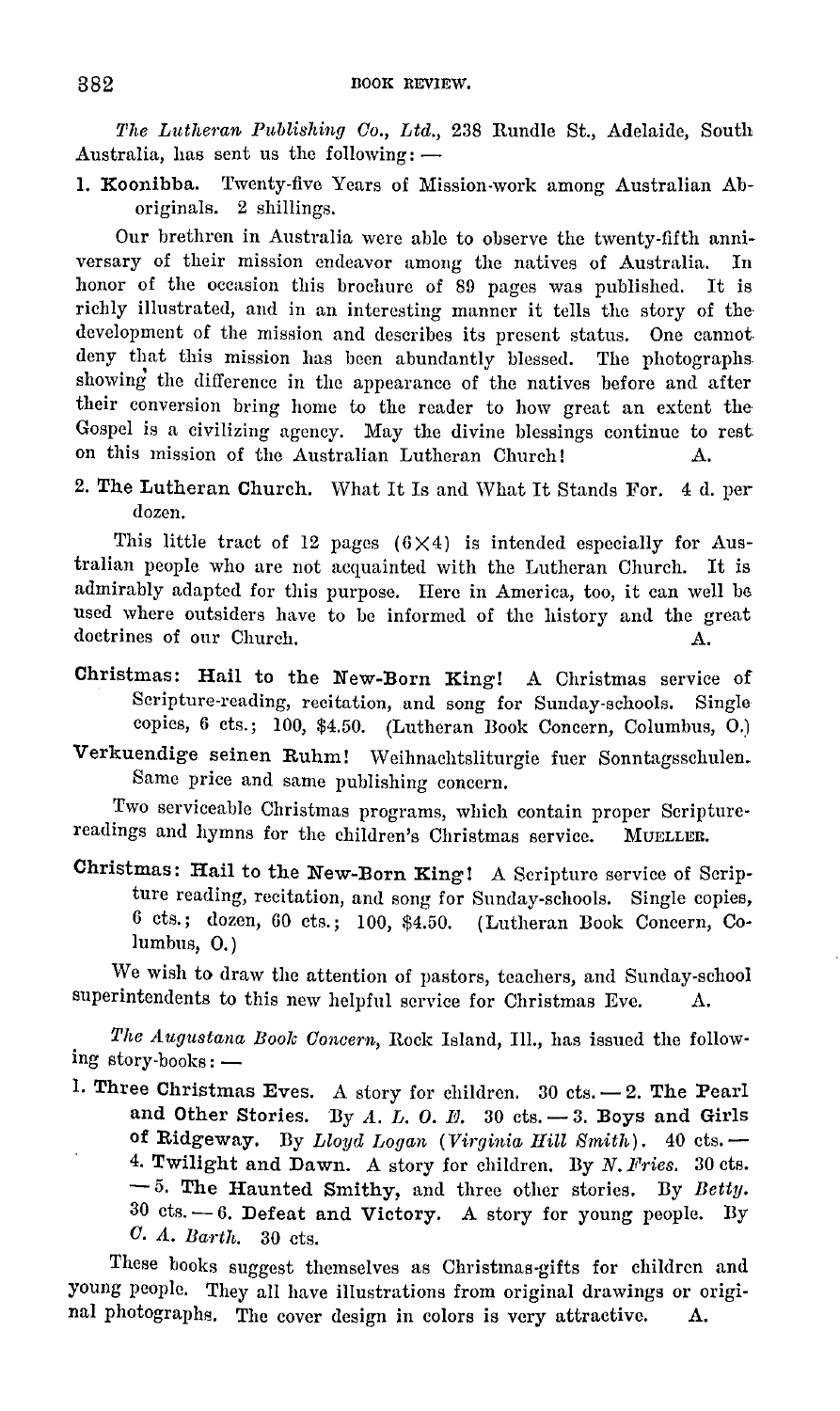*The Lutheran P1iblishing Co., Ltd.,* 238 Rundle St., Adelaide, South Australia, has sent us the following:  $-$ 

1. Koonibba. Twenty-five Years of Mission-work among Australian Aboriginals. 2 shillings.

Our brethren in Australia were able to observe the twenty-fifth anniversary of their mission endeavor among the natives of Australia. In honor of the occasion this brochure of 80 pages was published. It is richly illustrated, and in an interesting manner it tells the story of the· development of the mission and describes its present status. One cannot. deny that this mission has been abundantly blessed. The photographs showing the difference in the appearance of the natives before and after their conversion bring home to the reader to how great an extent the Gospel is a civilizing agency. May the divine blessings continue to rest on this mission of the Australian Lutheran Church! A.

2. The Lutheran Church. What It Is and What It Stands For. 4 d. per dozen.

This little tract of 12 pages  $(6 \times 4)$  is intended especially for Australian people who are not acquainted with the Lutheran Church. It is admirably adapted for this purpose. Here in America, too, it can well be used where outsiders have to be informed of the history and the great doctrines of our Church. A.

- Christmas: Hail to the New-Born King! A Christmas service of Scripture-reading, recitation, and song for Sunday-schools. Single copies, **6** cts.; 100, \$4.50. (Lutheran Book Concern, Columbus, 0.)
- **Verkuendige** seinen **Ruhm!** Weihnachtsliturgie fuer Sonntagsschulen. Same price and same publishing concern.

Two serviceable Christmas programs, which contain proper Scripture· readings and hymns for the children's Christmas service. MUELLER.

Christmas: Hail to the New-Born King! A Scripture service of Scripture reading, recitation, and song for Sunday-schools. Single copies, 6 cts.; dozen, 60 cts.; 100, \$4.50. (Lutheran Book Concern, Columbus, 0.)

We wish to draw the attention of pastors, teachers, and Sunday-school superintendents to this new helpful service for Christmas Eve. A.

*The Augustana Boole Concern,* Rock Island, Ill., has issued the following story-books:-

1. Three Christmas Eves. A story for children. 30 cts.  $-2$ . The Pearl and Other Stories. By  $A$ .  $L$ .  $O$ .  $E$ . 30 cts.  $-3$ . Boys and Girls of Ridgeway. By *Lloyd Logan (Virginia Hill Smith).* 40 cts.- 4. Twilight and Dawn. A story for children. By *N. Fries.* 30 cts. - 5. The Haunted Smithy, and three other stories. By *Betty.*   $30$  cts.  $-6$ . Defeat and Victory. A story for young people. By *0.* 11. *Barth.* 30 cts.

These books suggest themselves as Christmas-gifts for children and young people. They all have illustrations from original drawings or original photographs. The cover design in colors is very attractive. A.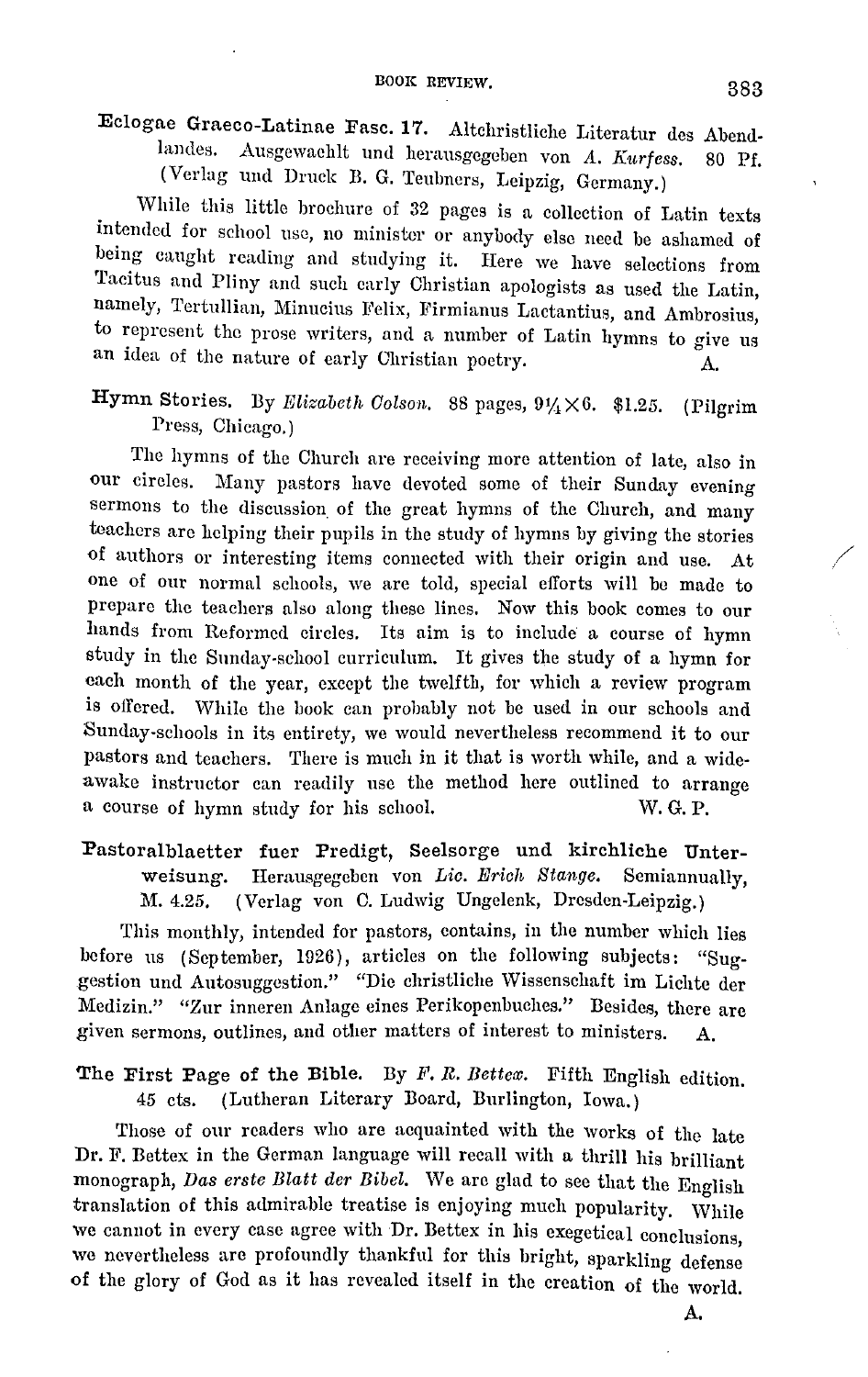Eclogae Graeco-Latinae Fasc. 17. Altchristliche Literatur des Abendlandes, .A.usgcwachlt und herausgegcben von *A. Kurfess.* 80 Pf. (Verlag und Druck B. G. Teulmcrs, Leipzig, Germany.)

While this little brochure of 32 pages is a collection of Latin texts intended for school use, no minister or anybody else need be ashamed of being caught reading and studying it. Here we have selections from Tacitus and Pliny and such early Christian apologists as used the Latin, namely, Tertullian, Minucius Felix, Firmianus Lactantius, and Ambrosius, to represent the prose writers, and a number of Latin hymns to give us an idea of the nature of early Christian poetry.

Hymn Stories. By *Elizabeth Colson.* 88 pages,  $9\frac{1}{4} \times 6$ . \$1.25. (Pilgrim Press, Chicago.)

The hymns of the Church are receiving more attention of late, also in our circles. Many pastors have devoted some of their Sunday evening sermons to the discussion of the great hymns of the Church, and many teachers are helping their pupils in the study of hymns by giving the stories of authors or interesting items connected with their origin and use. At one of our normal schools, we are told, special efforts will be made to prepare the teachers also along these lines. Now this book comes to our hands from Reformed circles. Its aim is to include a course of hymn study in the Sunday-school curriculum. It gives the study of a hymn for each month of the year, except the twelfth, for which a review program is offered. While the book can probably not be used in our schools and Sunday-schools in its entirety, we would nevertheless recommend it to our pastors and teachers. There is much in it that is worth while, and a wideawake instructor can readily use the method here outlined to arrange a course of hymn study for his school. W. G. P.

Pastoralblaetter fuer Predigt, Seelsorge und kirchliche Unterweisung. Herausgegeben von *Lic. Erich Stange*. Semiannually, M. 4.25. (Verlag von C. Ludwig Ungelenk, Dresden-Leipzig.)

This monthly, intended for pastors, contains, in the number which lies before us (September, 1926), articles on the following subjects: "Suggestion und Autosuggestion." "Die christliche Wissenschaft im Lichte der Medizin." "Zur inneren Anlage eines Perikopenbuches." Besides, there are given sermons, outlines, and other matters of interest to ministers. A.

The First Page of the Bible. By F. R. *Bettex.* Fifth English edition. *45* ets. (Lutheran Literary Board, Burlington, Iowa.)

Those of our readers who are acquainted with the works of the late Dr. F. Bettex in the German language will recall with a thrill his brilliant monograph, *Das erste Blatt der Bibel.* We are glad to see that the English translation of this admirable treatise is enjoying much popularity. While we cannot in every case agree with Dr. Bettex in his exegetical conclusions, we nevertheless are profoundly thankful for this bright, sparkling defense of the glory of God as it has revealed itself in the creation of the world.